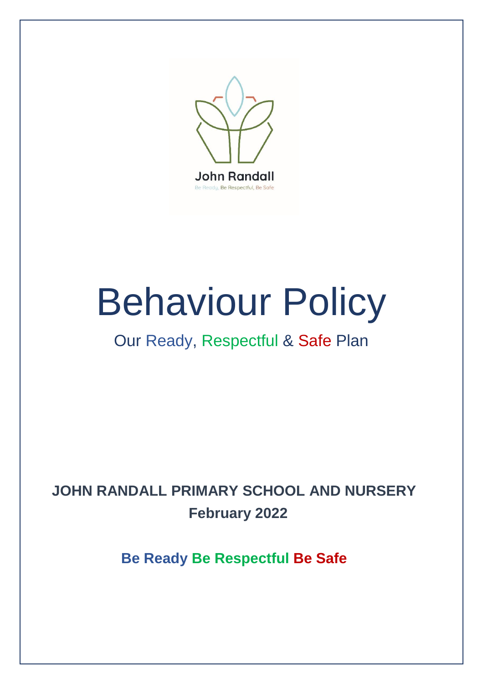

# Behaviour Policy

# Our Ready, Respectful & Safe Plan

# **JOHN RANDALL PRIMARY SCHOOL AND NURSERY February 2022**

**Be Ready Be Respectful Be Safe**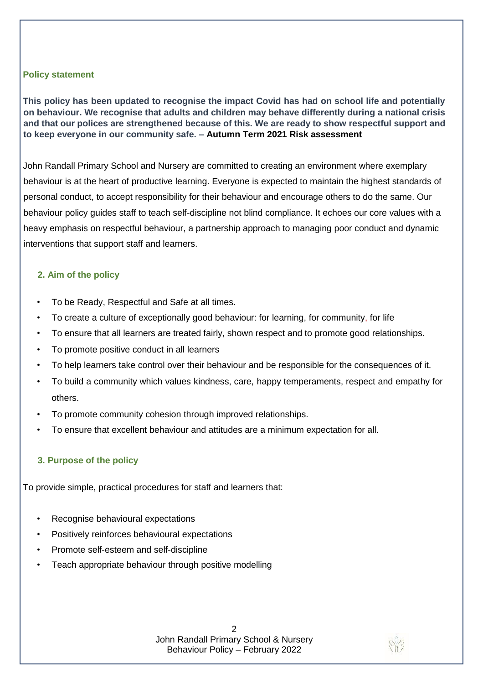#### **Policy statement**

**This policy has been updated to recognise the impact Covid has had on school life and potentially on behaviour. We recognise that adults and children may behave differently during a national crisis and that our polices are strengthened because of this. We are ready to show respectful support and to keep everyone in our community safe. – Autumn Term 2021 Risk assessment** 

John Randall Primary School and Nursery are committed to creating an environment where exemplary behaviour is at the heart of productive learning. Everyone is expected to maintain the highest standards of personal conduct, to accept responsibility for their behaviour and encourage others to do the same. Our behaviour policy guides staff to teach self-discipline not blind compliance. It echoes our core values with a heavy emphasis on respectful behaviour, a partnership approach to managing poor conduct and dynamic interventions that support staff and learners.

#### **2. Aim of the policy**

- To be Ready, Respectful and Safe at all times.
- To create a culture of exceptionally good behaviour: for learning, for community, for life
- To ensure that all learners are treated fairly, shown respect and to promote good relationships.
- To promote positive conduct in all learners
- To help learners take control over their behaviour and be responsible for the consequences of it.
- To build a community which values kindness, care, happy temperaments, respect and empathy for others.
- To promote community cohesion through improved relationships.
- To ensure that excellent behaviour and attitudes are a minimum expectation for all.

#### **3. Purpose of the policy**

To provide simple, practical procedures for staff and learners that:

- Recognise behavioural expectations
- Positively reinforces behavioural expectations
- Promote self-esteem and self-discipline
- Teach appropriate behaviour through positive modelling

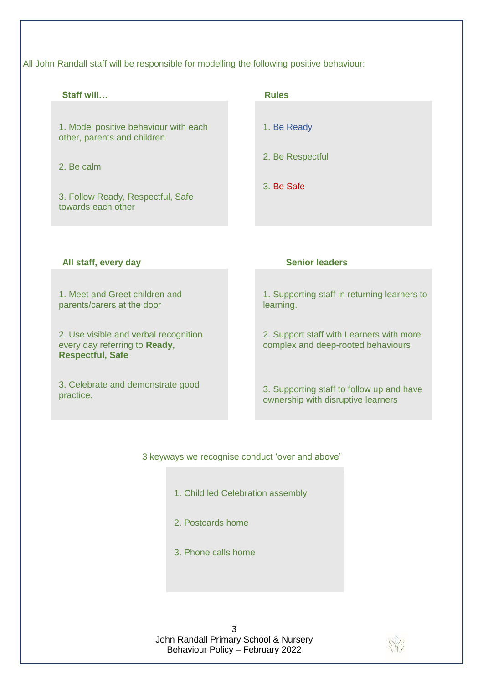All John Randall staff will be responsible for modelling the following positive behaviour:

| Staff will                                                                                        | <b>Rules</b>                                                                   |
|---------------------------------------------------------------------------------------------------|--------------------------------------------------------------------------------|
| 1. Model positive behaviour with each<br>other, parents and children                              | 1. Be Ready                                                                    |
| 2. Be calm                                                                                        | 2. Be Respectful                                                               |
| 3. Follow Ready, Respectful, Safe<br>towards each other                                           | 3. Be Safe                                                                     |
|                                                                                                   |                                                                                |
| All staff, every day                                                                              | <b>Senior leaders</b>                                                          |
| 1. Meet and Greet children and<br>parents/carers at the door                                      | 1. Supporting staff in returning learners to<br>learning.                      |
| 2. Use visible and verbal recognition<br>every day referring to Ready,<br><b>Respectful, Safe</b> | 2. Support staff with Learners with more<br>complex and deep-rooted behaviours |

#### 3 keyways we recognise conduct 'over and above'

- 1. Child led Celebration assembly
- 2. Postcards home
- 3. Phone calls home

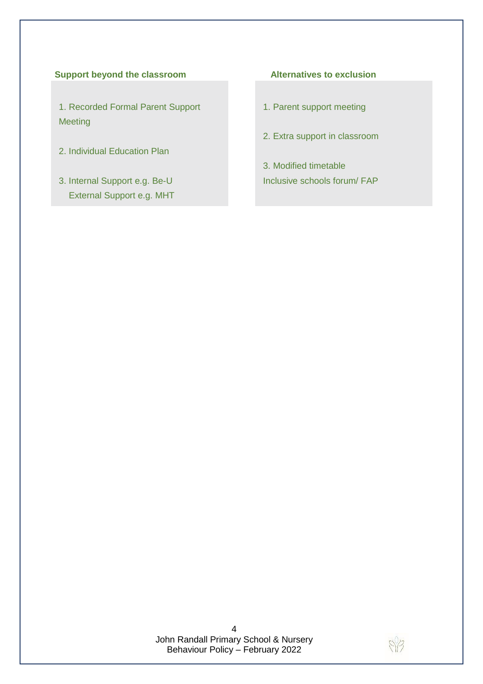#### **Support beyond the classroom Alternatives to exclusion**

1. Recorded Formal Parent Support Meeting

- 2. Individual Education Plan
- 3. Internal Support e.g. Be-U External Support e.g. MHT

- 1. Parent support meeting
- 2. Extra support in classroom
- 3. Modified timetable Inclusive schools forum/ FAP

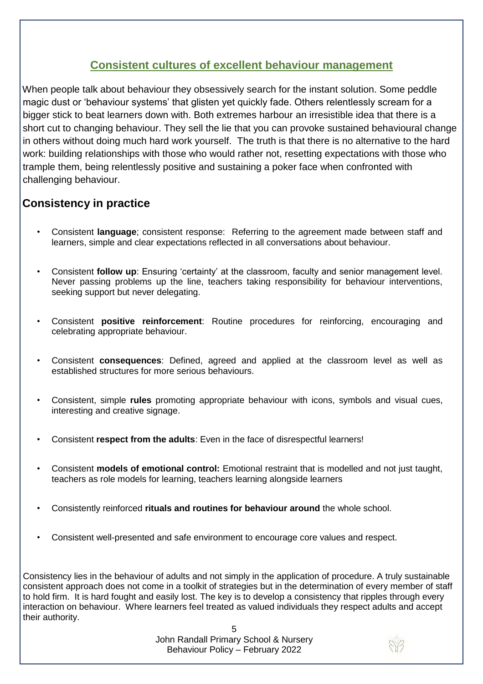### **Consistent cultures of excellent behaviour management**

When people talk about behaviour they obsessively search for the instant solution. Some peddle magic dust or 'behaviour systems' that glisten yet quickly fade. Others relentlessly scream for a bigger stick to beat learners down with. Both extremes harbour an irresistible idea that there is a short cut to changing behaviour. They sell the lie that you can provoke sustained behavioural change in others without doing much hard work yourself. The truth is that there is no alternative to the hard work: building relationships with those who would rather not, resetting expectations with those who trample them, being relentlessly positive and sustaining a poker face when confronted with challenging behaviour.

## **Consistency in practice**

- Consistent **language**; consistent response: Referring to the agreement made between staff and learners, simple and clear expectations reflected in all conversations about behaviour.
- Consistent **follow up**: Ensuring 'certainty' at the classroom, faculty and senior management level. Never passing problems up the line, teachers taking responsibility for behaviour interventions, seeking support but never delegating.
- Consistent **positive reinforcement**: Routine procedures for reinforcing, encouraging and celebrating appropriate behaviour.
- Consistent **consequences**: Defined, agreed and applied at the classroom level as well as established structures for more serious behaviours.
- Consistent, simple **rules** promoting appropriate behaviour with icons, symbols and visual cues, interesting and creative signage.
- Consistent **respect from the adults**: Even in the face of disrespectful learners!
- Consistent **models of emotional control:** Emotional restraint that is modelled and not just taught, teachers as role models for learning, teachers learning alongside learners
- Consistently reinforced **rituals and routines for behaviour around** the whole school.
- Consistent well-presented and safe environment to encourage core values and respect.

Consistency lies in the behaviour of adults and not simply in the application of procedure. A truly sustainable consistent approach does not come in a toolkit of strategies but in the determination of every member of staff to hold firm. It is hard fought and easily lost. The key is to develop a consistency that ripples through every interaction on behaviour. Where learners feel treated as valued individuals they respect adults and accept their authority.

> 5 John Randall Primary School & Nursery Behaviour Policy – February 2022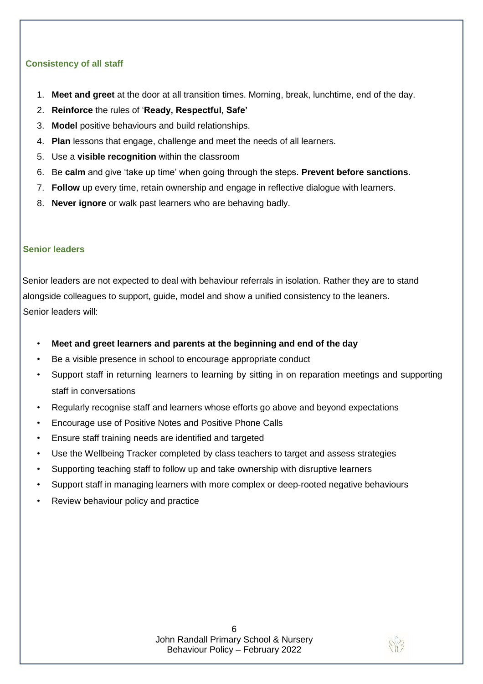#### **Consistency of all staff**

- 1. **Meet and greet** at the door at all transition times. Morning, break, lunchtime, end of the day.
- 2. **Reinforce** the rules of '**Ready, Respectful, Safe'**
- 3. **Model** positive behaviours and build relationships.
- 4. **Plan** lessons that engage, challenge and meet the needs of all learners.
- 5. Use a **visible recognition** within the classroom
- 6. Be **calm** and give 'take up time' when going through the steps. **Prevent before sanctions**.
- 7. **Follow** up every time, retain ownership and engage in reflective dialogue with learners.
- 8. **Never ignore** or walk past learners who are behaving badly.

#### **Senior leaders**

Senior leaders are not expected to deal with behaviour referrals in isolation. Rather they are to stand alongside colleagues to support, guide, model and show a unified consistency to the leaners. Senior leaders will:

- **Meet and greet learners and parents at the beginning and end of the day**
- Be a visible presence in school to encourage appropriate conduct
- Support staff in returning learners to learning by sitting in on reparation meetings and supporting staff in conversations
- Regularly recognise staff and learners whose efforts go above and beyond expectations
- Encourage use of Positive Notes and Positive Phone Calls
- Ensure staff training needs are identified and targeted
- Use the Wellbeing Tracker completed by class teachers to target and assess strategies
- Supporting teaching staff to follow up and take ownership with disruptive learners
- Support staff in managing learners with more complex or deep-rooted negative behaviours
- Review behaviour policy and practice

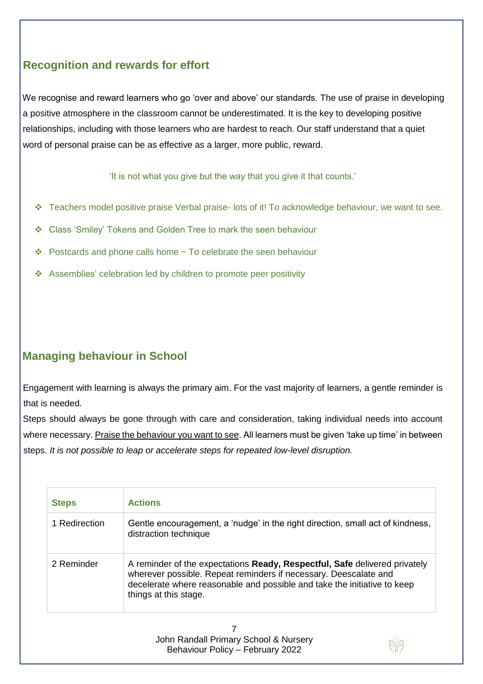# **Recognition and rewards for effort**

We recognise and reward learners who go 'over and above' our standards. The use of praise in developing a positive atmosphere in the classroom cannot be underestimated. It is the key to developing positive relationships, including with those learners who are hardest to reach. Our staff understand that a quiet word of personal praise can be as effective as a larger, more public, reward.

'It is not what you give but the way that you give it that counts.'

- Teachers model positive praise Verbal praise- lots of it! To acknowledge behaviour, we want to see.
- Class 'Smiley' Tokens and Golden Tree to mark the seen behaviour
- $\cdot$  Postcards and phone calls home  $\sim$  To celebrate the seen behaviour
- Assemblies' celebration led by children to promote peer positivity

# **Managing behaviour in School**

Engagement with learning is always the primary aim. For the vast majority of learners, a gentle reminder is that is needed.

Steps should always be gone through with care and consideration, taking individual needs into account where necessary. Praise the behaviour you want to see. All learners must be given 'take up time' in between steps. *It is not possible to leap or accelerate steps for repeated low-level disruption.* 

| <b>Steps</b>  | <b>Actions</b>                                                                                                                                                                                                                                             |  |
|---------------|------------------------------------------------------------------------------------------------------------------------------------------------------------------------------------------------------------------------------------------------------------|--|
| 1 Redirection | Gentle encouragement, a 'nudge' in the right direction, small act of kindness,<br>distraction technique                                                                                                                                                    |  |
| 2 Reminder    | A reminder of the expectations <b>Ready, Respectful, Safe</b> delivered privately<br>wherever possible. Repeat reminders if necessary. Deescalate and<br>decelerate where reasonable and possible and take the initiative to keep<br>things at this stage. |  |
|               | John Randall Primary School & Nursery<br>Behaviour Policy - February 2022                                                                                                                                                                                  |  |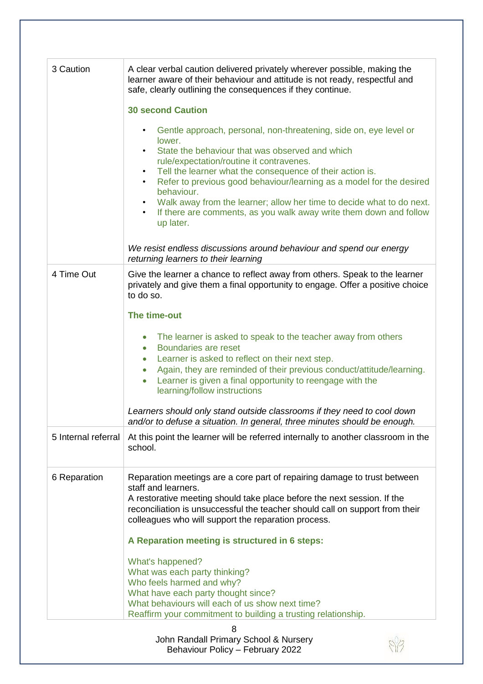| 3 Caution           | A clear verbal caution delivered privately wherever possible, making the<br>learner aware of their behaviour and attitude is not ready, respectful and<br>safe, clearly outlining the consequences if they continue.                                                                                                               |
|---------------------|------------------------------------------------------------------------------------------------------------------------------------------------------------------------------------------------------------------------------------------------------------------------------------------------------------------------------------|
|                     | <b>30 second Caution</b>                                                                                                                                                                                                                                                                                                           |
|                     | Gentle approach, personal, non-threatening, side on, eye level or<br>lower.<br>State the behaviour that was observed and which<br>rule/expectation/routine it contravenes.                                                                                                                                                         |
|                     | Tell the learner what the consequence of their action is.<br>Refer to previous good behaviour/learning as a model for the desired<br>behaviour.<br>Walk away from the learner; allow her time to decide what to do next.<br>$\bullet$                                                                                              |
|                     | If there are comments, as you walk away write them down and follow<br>$\bullet$<br>up later.                                                                                                                                                                                                                                       |
|                     | We resist endless discussions around behaviour and spend our energy<br>returning learners to their learning                                                                                                                                                                                                                        |
| 4 Time Out          | Give the learner a chance to reflect away from others. Speak to the learner<br>privately and give them a final opportunity to engage. Offer a positive choice<br>to do so.                                                                                                                                                         |
|                     | The time-out                                                                                                                                                                                                                                                                                                                       |
|                     | The learner is asked to speak to the teacher away from others<br>Boundaries are reset<br>$\bullet$<br>Learner is asked to reflect on their next step.<br>$\bullet$<br>Again, they are reminded of their previous conduct/attitude/learning.<br>$\bullet$<br>Learner is given a final opportunity to reengage with the<br>$\bullet$ |
|                     | learning/follow instructions                                                                                                                                                                                                                                                                                                       |
|                     | Learners should only stand outside classrooms if they need to cool down<br>and/or to defuse a situation. In general, three minutes should be enough.                                                                                                                                                                               |
| 5 Internal referral | At this point the learner will be referred internally to another classroom in the<br>school.                                                                                                                                                                                                                                       |
| 6 Reparation        | Reparation meetings are a core part of repairing damage to trust between<br>staff and learners.<br>A restorative meeting should take place before the next session. If the<br>reconciliation is unsuccessful the teacher should call on support from their                                                                         |
|                     | colleagues who will support the reparation process.                                                                                                                                                                                                                                                                                |
|                     | A Reparation meeting is structured in 6 steps:                                                                                                                                                                                                                                                                                     |
|                     | What's happened?<br>What was each party thinking?<br>Who feels harmed and why?                                                                                                                                                                                                                                                     |
|                     | What have each party thought since?<br>What behaviours will each of us show next time?<br>Reaffirm your commitment to building a trusting relationship.                                                                                                                                                                            |
|                     | 8                                                                                                                                                                                                                                                                                                                                  |
|                     | John Randall Primary School & Nursery<br>Behaviour Policy - February 2022                                                                                                                                                                                                                                                          |